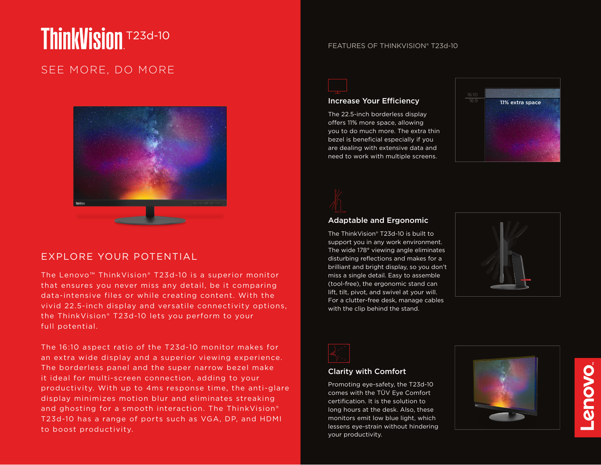# **ThinkVision T23d-10**

## SEE MORE, DO MORE



### EXPLORE YOUR POTENTIAL

The Lenovo™ ThinkVision® T23d-10 is a superior monitor that ensures you never miss any detail, be it comparing data-intensive files or while creating content. With the vivid 22.5-inch display and versatile connectivity options, the ThinkVision® T23d-10 lets you perform to your full potential.

The 16:10 aspect ratio of the T23d-10 monitor makes for an extra wide display and a superior viewing experience. The borderless panel and the super narrow bezel make it ideal for multi-screen connection, adding to your productivity. With up to 4ms response time, the anti-glare display minimizes motion blur and eliminates streaking and ghosting for a smooth interaction. The ThinkVision® T23d-10 has a range of ports such as VGA, DP, and HDMI to boost productivity.

#### FEATURES OF THINKVISION® T23d-10



#### Increase Your Efficiency

The 22.5-inch borderless display offers 11% more space, allowing you to do much more. The extra thin bezel is beneficial especially if you are dealing with extensive data and need to work with multiple screens.



#### Adaptable and Ergonomic

The ThinkVision® T23d-10 is built to support you in any work environment. The wide 178° viewing angle eliminates disturbing reflections and makes for a brilliant and bright display, so you don't miss a single detail. Easy to assemble (tool-free), the ergonomic stand can lift, tilt, pivot, and swivel at your will. For a clutter-free desk, manage cables with the clip behind the stand.





#### Clarity with Comfort

Promoting eye-safety, the T23d-10 comes with the TÜV Eye Comfort certification. It is the solution to long hours at the desk. Also, these monitors emit low blue light, which lessens eye-strain without hindering your productivity.



anona